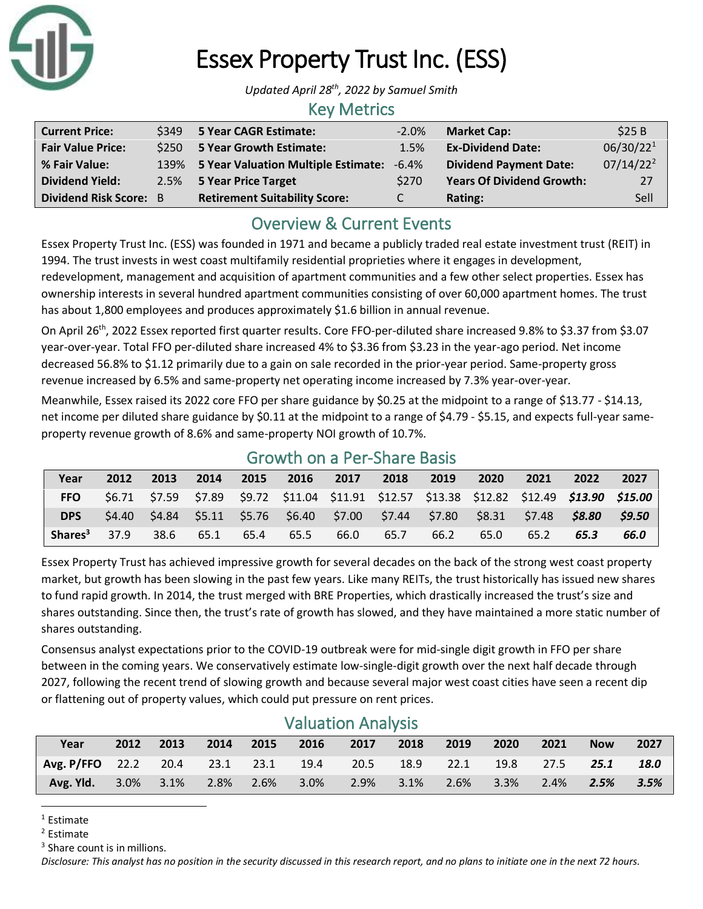

# Essex Property Trust Inc. (ESS)

*Updated April 28 th , 2022 by Samuel Smith*

### Key Metrics

| <b>Current Price:</b>         |      | \$349 5 Year CAGR Estimate:          | $-2.0%$       | <b>Market Cap:</b>               | \$25B                 |
|-------------------------------|------|--------------------------------------|---------------|----------------------------------|-----------------------|
| <b>Fair Value Price:</b>      |      | \$250 5 Year Growth Estimate:        | 1.5%          | <b>Ex-Dividend Date:</b>         | 06/30/22 <sup>1</sup> |
| % Fair Value:                 | 139% | 5 Year Valuation Multiple Estimate:  | $-6.4\%$      | <b>Dividend Payment Date:</b>    | $07/14/22^2$          |
| <b>Dividend Yield:</b>        |      | 2.5% 5 Year Price Target             | \$270         | <b>Years Of Dividend Growth:</b> | 27                    |
| <b>Dividend Risk Score: B</b> |      | <b>Retirement Suitability Score:</b> | $\mathcal{C}$ | Rating:                          | Sell                  |

# Overview & Current Events

Essex Property Trust Inc. (ESS) was founded in 1971 and became a publicly traded real estate investment trust (REIT) in 1994. The trust invests in west coast multifamily residential proprieties where it engages in development, redevelopment, management and acquisition of apartment communities and a few other select properties. Essex has

ownership interests in several hundred apartment communities consisting of over 60,000 apartment homes. The trust has about 1,800 employees and produces approximately \$1.6 billion in annual revenue.

On April 26<sup>th</sup>, 2022 Essex reported first quarter results. Core FFO-per-diluted share increased 9.8% to \$3.37 from \$3.07 year-over-year. Total FFO per-diluted share increased 4% to \$3.36 from \$3.23 in the year-ago period. Net income decreased 56.8% to \$1.12 primarily due to a gain on sale recorded in the prior-year period. Same-property gross revenue increased by 6.5% and same-property net operating income increased by 7.3% year-over-year.

Meanwhile, Essex raised its 2022 core FFO per share guidance by \$0.25 at the midpoint to a range of \$13.77 - \$14.13, net income per diluted share guidance by \$0.11 at the midpoint to a range of \$4.79 - \$5.15, and expects full-year sameproperty revenue growth of 8.6% and same-property NOI growth of 10.7%.

| Year                | 2012 | 2013 | 2014 | 2015 | 2016                                                                                               | 2017 | 2018 | 2019 | 2020 | 2021 | 2022 | 2027   |
|---------------------|------|------|------|------|----------------------------------------------------------------------------------------------------|------|------|------|------|------|------|--------|
| <b>FFO</b>          |      |      |      |      | \$6.71 \$7.59 \$7.89 \$9.72 \$11.04 \$11.91 \$12.57 \$13.38 \$12.82 \$12.49 <b>\$13.90 \$15.00</b> |      |      |      |      |      |      |        |
| <b>DPS</b>          |      |      |      |      | $$4.40$ $$4.84$ $$5.11$ $$5.76$ $$6.40$ $$7.00$ $$7.44$ $$7.80$ $$8.31$ $$7.48$ $$8.80$            |      |      |      |      |      |      | \$9.50 |
| Shares <sup>3</sup> | 37.9 | 38.6 | 65.1 | 65.4 | 65.5                                                                                               | 66.0 | 65.7 | 66.2 | 65.0 | 65.2 | 65.3 | 66.0   |

### Growth on a Per-Share Basis

Essex Property Trust has achieved impressive growth for several decades on the back of the strong west coast property market, but growth has been slowing in the past few years. Like many REITs, the trust historically has issued new shares to fund rapid growth. In 2014, the trust merged with BRE Properties, which drastically increased the trust's size and shares outstanding. Since then, the trust's rate of growth has slowed, and they have maintained a more static number of shares outstanding.

Consensus analyst expectations prior to the COVID-19 outbreak were for mid-single digit growth in FFO per share between in the coming years. We conservatively estimate low-single-digit growth over the next half decade through 2027, following the recent trend of slowing growth and because several major west coast cities have seen a recent dip or flattening out of property values, which could put pressure on rent prices.

| Year                                     | 2012 |  |  |  |  | 2013 2014 2015 2016 2017 | 2018 2019 2020 |  |                                 | 2021 | <b>Now</b> | 2027   |
|------------------------------------------|------|--|--|--|--|--------------------------|----------------|--|---------------------------------|------|------------|--------|
| Avg. P/FFO 22.2 20.4 23.1 23.1 19.4 20.5 |      |  |  |  |  |                          |                |  | 18.9 22.1 19.8 27.5 <b>25.1</b> |      |            | 18.0   |
| Avg. Yld. 3.0% 3.1% 2.8% 2.6% 3.0%       |      |  |  |  |  | 2.9% 3.1% 2.6% 3.3% 2.4% |                |  |                                 |      | 2.5%       | - 3.5% |

### Valuation Analysis

<sup>2</sup> Estimate

<sup>3</sup> Share count is in millions.

*Disclosure: This analyst has no position in the security discussed in this research report, and no plans to initiate one in the next 72 hours.*

 $1$  Estimate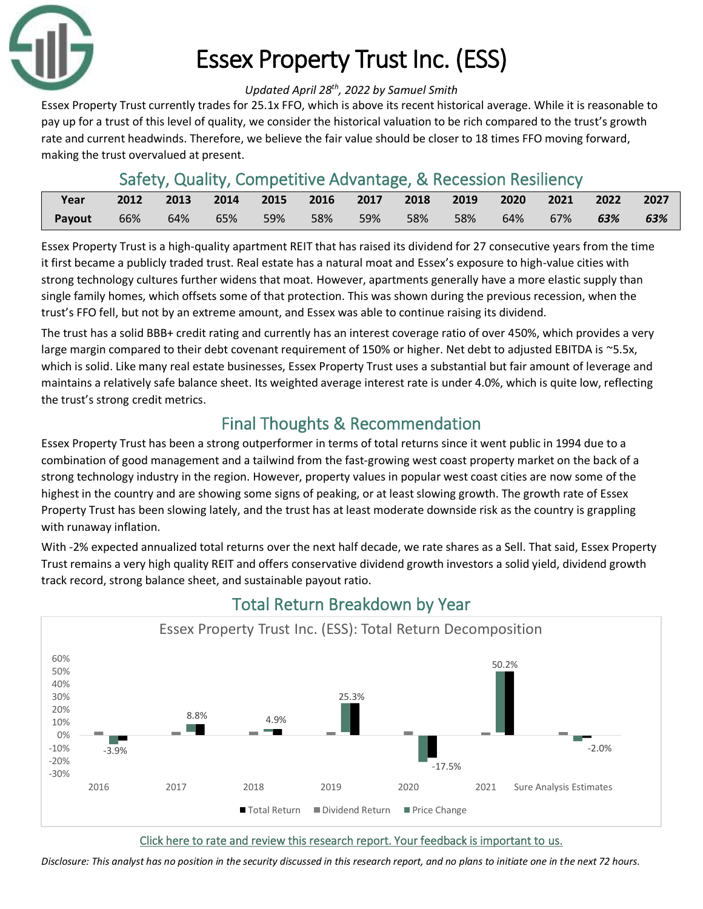

# Essex Property Trust Inc. (ESS)

#### *Updated April 28 th , 2022 by Samuel Smith*

Essex Property Trust currently trades for 25.1x FFO, which is above its recent historical average. While it is reasonable to pay up for a trust of this level of quality, we consider the historical valuation to be rich compared to the trust's growth rate and current headwinds. Therefore, we believe the fair value should be closer to 18 times FFO moving forward, making the trust overvalued at present.

## Safety, Quality, Competitive Advantage, & Recession Resiliency

| <b>Proper</b> |     | 2012 2013 2014 2015 2016 2017 2018 2019 2020 2021 2022 2027 |               |  |          |     |     |     |        |     |     |
|---------------|-----|-------------------------------------------------------------|---------------|--|----------|-----|-----|-----|--------|-----|-----|
| Payout        | 66% |                                                             | 64%  65%  59% |  | 58%  59% | 58% | 58% | 64% | $67\%$ | 63% | 63% |

Essex Property Trust is a high-quality apartment REIT that has raised its dividend for 27 consecutive years from the time it first became a publicly traded trust. Real estate has a natural moat and Essex's exposure to high-value cities with strong technology cultures further widens that moat. However, apartments generally have a more elastic supply than single family homes, which offsets some of that protection. This was shown during the previous recession, when the trust's FFO fell, but not by an extreme amount, and Essex was able to continue raising its dividend.

The trust has a solid BBB+ credit rating and currently has an interest coverage ratio of over 450%, which provides a very large margin compared to their debt covenant requirement of 150% or higher. Net debt to adjusted EBITDA is ~5.5x, which is solid. Like many real estate businesses, Essex Property Trust uses a substantial but fair amount of leverage and maintains a relatively safe balance sheet. Its weighted average interest rate is under 4.0%, which is quite low, reflecting the trust's strong credit metrics.

# Final Thoughts & Recommendation

Essex Property Trust has been a strong outperformer in terms of total returns since it went public in 1994 due to a combination of good management and a tailwind from the fast-growing west coast property market on the back of a strong technology industry in the region. However, property values in popular west coast cities are now some of the highest in the country and are showing some signs of peaking, or at least slowing growth. The growth rate of Essex Property Trust has been slowing lately, and the trust has at least moderate downside risk as the country is grappling with runaway inflation.

With -2% expected annualized total returns over the next half decade, we rate shares as a Sell. That said, Essex Property Trust remains a very high quality REIT and offers conservative dividend growth investors a solid yield, dividend growth track record, strong balance sheet, and sustainable payout ratio.



# Total Return Breakdown by Year

#### [Click here to rate and review this research report. Your feedback is important to us.](https://suredividend.typeform.com/to/NqXmiI)

*Disclosure: This analyst has no position in the security discussed in this research report, and no plans to initiate one in the next 72 hours.*